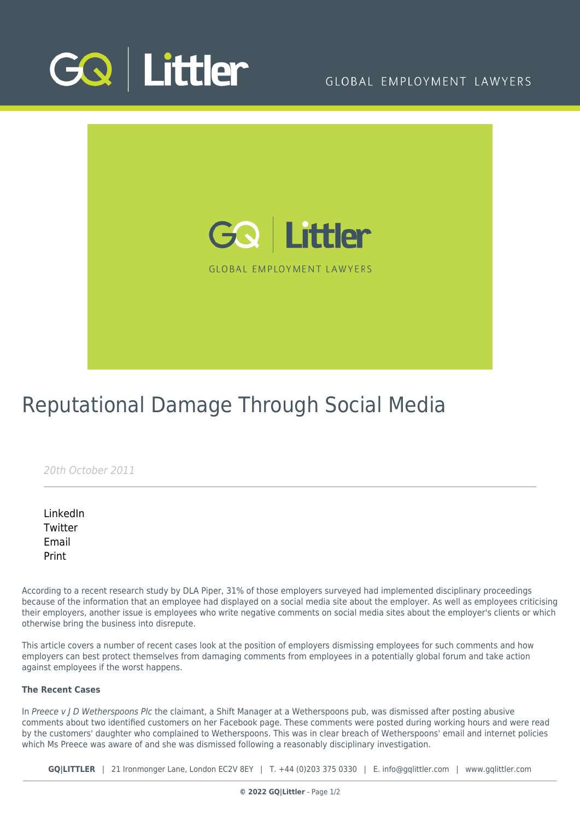

### GLOBAL EMPLOYMENT LAWYERS



# Reputational Damage Through Social Media

20th October 2011

[LinkedIn](https://www.linkedin.com/shareArticle?mini=true&url=https%3A%2F%2Fwww.gqlittler.com%2Fresources%2Fnews-and-views%2Freputational-damage-through-social-media.htm%3Funlock%3Dtrue&title=Reputational+Damage+Through+Social+Media&summary=According+to+a+recent+research+study+by+DLA+Piper%2C+31%25+of+those+employers+surveyed+had+implemented+disciplinary+proceedings+because+of+the+information+that+an+employee+had+displayed+on+a+social+media+site+about+the+employer.+&source=GQ+%7C+Littler) **[Twitter](https://twitter.com/share?text=Reputational+Damage+Through+Social+Media&url=https%3A%2F%2Fwww.gqlittler.com%2Fresources%2Fnews-and-views%2Freputational-damage-through-social-media.htm&hashtags=)** [Email](mailto:?subject=Reputational Damage Through Social Media&body=I) [Print](https://www.bg-pdf.co.uk/_GQ/page.php?M=6148523063484d364c793933643363755a33467361585230624756794c6d4e76625339795a584e7664584a6a5a584d76626d563363793168626d5174646d6c6c64334d76636d56776458526864476c76626d46734c5752686257466e5a53313061484a766457646f4c584e7659326c68624331745a5752705953356f6447306a51434e535a584231644746306157397559577767524746745957646c4946526f636d39315a3267675532396a615746734945316c5a476c684930416a636d56776458526864476c76626d46734c5752686257466e5a53313061484a766457646f4c584e7659326c68624331745a57527059513d3d)

According to a recent research study by DLA Piper, 31% of those employers surveyed had implemented disciplinary proceedings because of the information that an employee had displayed on a social media site about the employer. As well as employees criticising their employers, another issue is employees who write negative comments on social media sites about the employer's clients or which otherwise bring the business into disrepute.

This article covers a number of recent cases look at the position of employers dismissing employees for such comments and how employers can best protect themselves from damaging comments from employees in a potentially global forum and take action against employees if the worst happens.

### **The Recent Cases**

In Preece  $v$  J D Wetherspoons Plc the claimant, a Shift Manager at a Wetherspoons pub, was dismissed after posting abusive comments about two identified customers on her Facebook page. These comments were posted during working hours and were read by the customers' daughter who complained to Wetherspoons. This was in clear breach of Wetherspoons' email and internet policies which Ms Preece was aware of and she was dismissed following a reasonably disciplinary investigation.

**GQ|LITTLER** | 21 Ironmonger Lane, London EC2V 8EY | T. [+44 \(0\)203 375 0330](https://www.bg-pdf.co.uk/_GQ/tel:+442033750330) | E. [info@gqlittler.com](mailto:info@gqlittler.com) | [www.gqlittler.com](https://www.gqlittler.com)